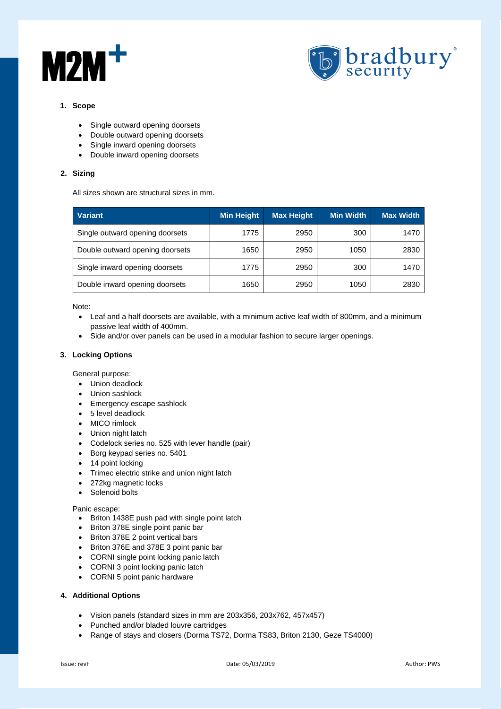



## **1. Scope**

- Single outward opening doorsets
- Double outward opening doorsets
- Single inward opening doorsets
- Double inward opening doorsets

## **2. Sizing**

All sizes shown are structural sizes in mm.

| <b>Variant</b>                  | Min Height | <b>Max Height</b> | <b>Min Width</b> | <b>Max Width</b> |
|---------------------------------|------------|-------------------|------------------|------------------|
| Single outward opening doorsets | 1775       | 2950              | 300              | 1470             |
| Double outward opening doorsets | 1650       | 2950              | 1050             | 2830             |
| Single inward opening doorsets  | 1775       | 2950              | 300              | 1470             |
| Double inward opening doorsets  | 1650       | 2950              | 1050             | 2830             |

Note:

- Leaf and a half doorsets are available, with a minimum active leaf width of 800mm, and a minimum passive leaf width of 400mm.
- Side and/or over panels can be used in a modular fashion to secure larger openings.

# **3. Locking Options**

General purpose:

- Union deadlock
- Union sashlock
- Emergency escape sashlock
- 5 level deadlock
- MICO rimlock
- Union night latch
- Codelock series no. 525 with lever handle (pair)
- Borg keypad series no. 5401
- 14 point locking
- Trimec electric strike and union night latch
- 272kg magnetic locks
- Solenoid bolts

### Panic escape:

- Briton 1438E push pad with single point latch
- Briton 378E single point panic bar
- Briton 378E 2 point vertical bars
- Briton 376E and 378E 3 point panic bar
- CORNI single point locking panic latch
- CORNI 3 point locking panic latch
- CORNI 5 point panic hardware

## **4. Additional Options**

- Vision panels (standard sizes in mm are 203x356, 203x762, 457x457)
- Punched and/or bladed louvre cartridges
- Range of stays and closers (Dorma TS72, Dorma TS83, Briton 2130, Geze TS4000)